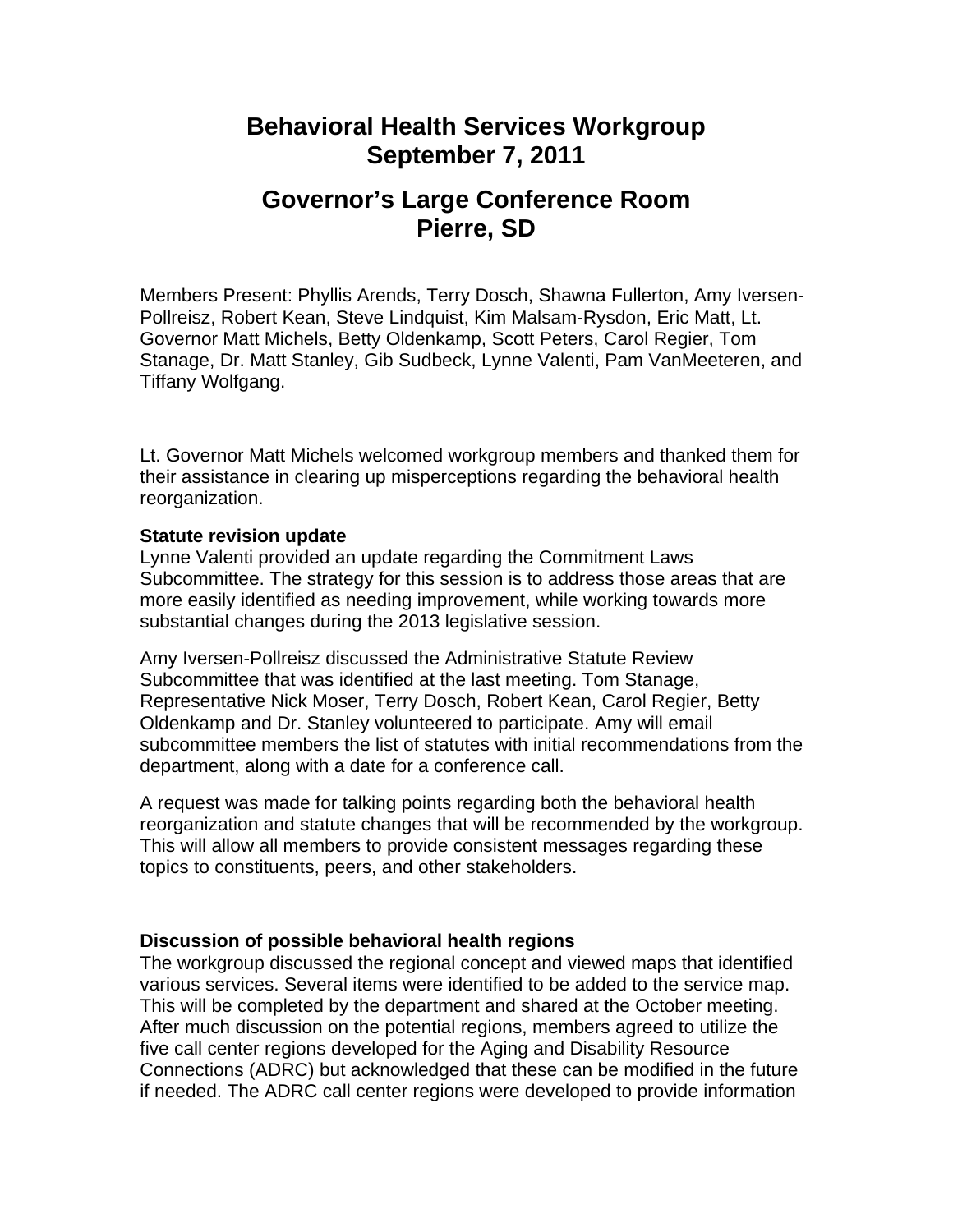## **Behavioral Health Services Workgroup September 7, 2011**

# **Governor's Large Conference Room Pierre, SD**

Members Present: Phyllis Arends, Terry Dosch, Shawna Fullerton, Amy Iversen-Pollreisz, Robert Kean, Steve Lindquist, Kim Malsam-Rysdon, Eric Matt, Lt. Governor Matt Michels, Betty Oldenkamp, Scott Peters, Carol Regier, Tom Stanage, Dr. Matt Stanley, Gib Sudbeck, Lynne Valenti, Pam VanMeeteren, and Tiffany Wolfgang.

Lt. Governor Matt Michels welcomed workgroup members and thanked them for their assistance in clearing up misperceptions regarding the behavioral health reorganization.

### **Statute revision update**

Lynne Valenti provided an update regarding the Commitment Laws Subcommittee. The strategy for this session is to address those areas that are more easily identified as needing improvement, while working towards more substantial changes during the 2013 legislative session.

Amy Iversen-Pollreisz discussed the Administrative Statute Review Subcommittee that was identified at the last meeting. Tom Stanage, Representative Nick Moser, Terry Dosch, Robert Kean, Carol Regier, Betty Oldenkamp and Dr. Stanley volunteered to participate. Amy will email subcommittee members the list of statutes with initial recommendations from the department, along with a date for a conference call.

A request was made for talking points regarding both the behavioral health reorganization and statute changes that will be recommended by the workgroup. This will allow all members to provide consistent messages regarding these topics to constituents, peers, and other stakeholders.

### **Discussion of possible behavioral health regions**

The workgroup discussed the regional concept and viewed maps that identified various services. Several items were identified to be added to the service map. This will be completed by the department and shared at the October meeting. After much discussion on the potential regions, members agreed to utilize the five call center regions developed for the Aging and Disability Resource Connections (ADRC) but acknowledged that these can be modified in the future if needed. The ADRC call center regions were developed to provide information